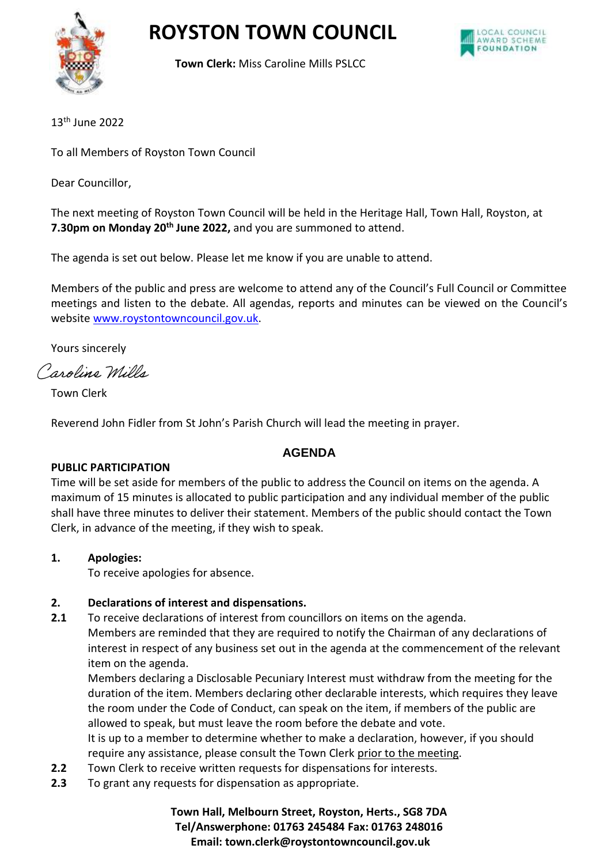

**Town Clerk:** Miss Caroline Mills PSLCC

13th June 2022

To all Members of Royston Town Council

Dear Councillor,

The next meeting of Royston Town Council will be held in the Heritage Hall, Town Hall, Royston, at **7.30pm on Monday 20th June 2022,** and you are summoned to attend.

The agenda is set out below. Please let me know if you are unable to attend.

Members of the public and press are welcome to attend any of the Council's Full Council or Committee meetings and listen to the debate. All agendas, reports and minutes can be viewed on the Council's websit[e www.roystontowncouncil.gov.uk.](http://www.roystontowncouncil.gov.uk/)

Yours sincerely

Caroline Wills

Town Clerk

Reverend John Fidler from St John's Parish Church will lead the meeting in prayer.

# **AGENDA**

### **PUBLIC PARTICIPATION**

Time will be set aside for members of the public to address the Council on items on the agenda. A maximum of 15 minutes is allocated to public participation and any individual member of the public shall have three minutes to deliver their statement. Members of the public should contact the Town Clerk, in advance of the meeting, if they wish to speak.

**1. Apologies:** 

To receive apologies for absence.

# **2. Declarations of interest and dispensations.**

**2.1** To receive declarations of interest from councillors on items on the agenda. Members are reminded that they are required to notify the Chairman of any declarations of interest in respect of any business set out in the agenda at the commencement of the relevant item on the agenda.

Members declaring a Disclosable Pecuniary Interest must withdraw from the meeting for the duration of the item. Members declaring other declarable interests, which requires they leave the room under the Code of Conduct, can speak on the item, if members of the public are allowed to speak, but must leave the room before the debate and vote. It is up to a member to determine whether to make a declaration, however, if you should

- require any assistance, please consult the Town Clerk prior to the meeting.
- **2.2** Town Clerk to receive written requests for dispensations for interests.
- **2.3** To grant any requests for dispensation as appropriate.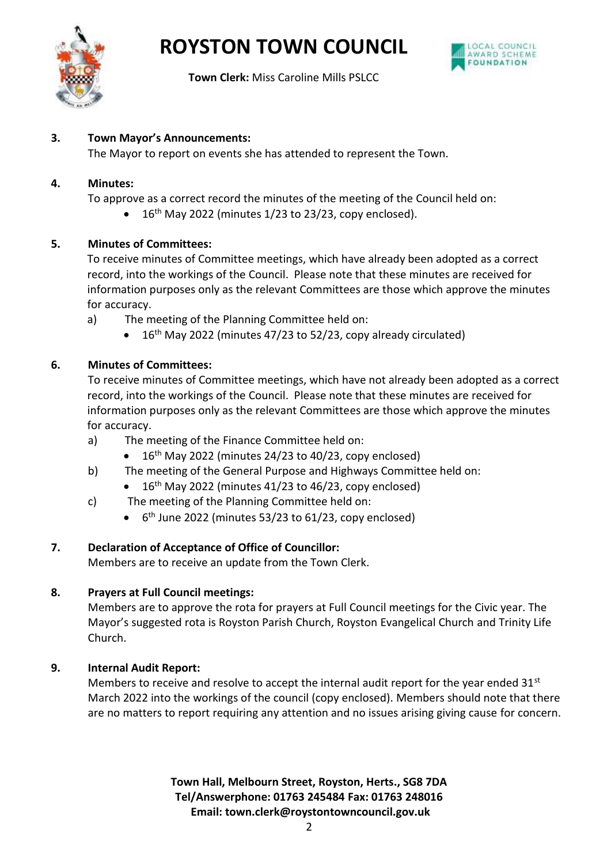



**Town Clerk:** Miss Caroline Mills PSLCC

### **3. Town Mayor's Announcements:**

The Mayor to report on events she has attended to represent the Town.

### **4. Minutes:**

To approve as a correct record the minutes of the meeting of the Council held on:

 $\bullet$  16<sup>th</sup> May 2022 (minutes 1/23 to 23/23, copy enclosed).

## **5. Minutes of Committees:**

To receive minutes of Committee meetings, which have already been adopted as a correct record, into the workings of the Council. Please note that these minutes are received for information purposes only as the relevant Committees are those which approve the minutes for accuracy.

- a) The meeting of the Planning Committee held on:
	- 16<sup>th</sup> May 2022 (minutes 47/23 to 52/23, copy already circulated)

# **6. Minutes of Committees:**

To receive minutes of Committee meetings, which have not already been adopted as a correct record, into the workings of the Council. Please note that these minutes are received for information purposes only as the relevant Committees are those which approve the minutes for accuracy.

- a) The meeting of the Finance Committee held on:
	- $16<sup>th</sup>$  May 2022 (minutes 24/23 to 40/23, copy enclosed)
- b) The meeting of the General Purpose and Highways Committee held on:
	- $\bullet$  16<sup>th</sup> May 2022 (minutes 41/23 to 46/23, copy enclosed)
- c) The meeting of the Planning Committee held on:
	- 6<sup>th</sup> June 2022 (minutes 53/23 to 61/23, copy enclosed)

# **7. Declaration of Acceptance of Office of Councillor:**

Members are to receive an update from the Town Clerk.

# **8. Prayers at Full Council meetings:**

Members are to approve the rota for prayers at Full Council meetings for the Civic year. The Mayor's suggested rota is Royston Parish Church, Royston Evangelical Church and Trinity Life Church.

# **9. Internal Audit Report:**

Members to receive and resolve to accept the internal audit report for the year ended  $31<sup>st</sup>$ March 2022 into the workings of the council (copy enclosed). Members should note that there are no matters to report requiring any attention and no issues arising giving cause for concern.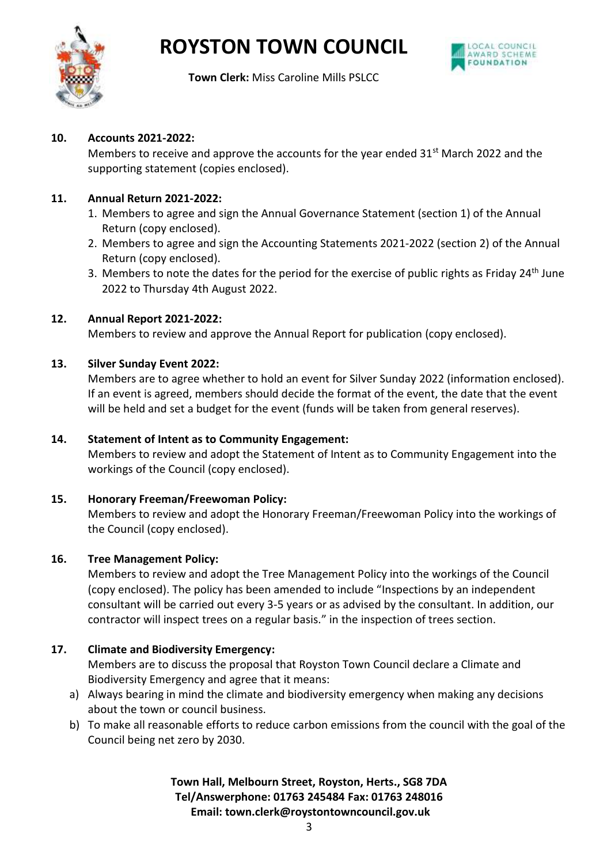



**Town Clerk:** Miss Caroline Mills PSLCC

#### **10. Accounts 2021-2022:**

Members to receive and approve the accounts for the year ended  $31<sup>st</sup>$  March 2022 and the supporting statement (copies enclosed).

#### **11. Annual Return 2021-2022:**

- 1. Members to agree and sign the Annual Governance Statement (section 1) of the Annual Return (copy enclosed).
- 2. Members to agree and sign the Accounting Statements 2021-2022 (section 2) of the Annual Return (copy enclosed).
- 3. Members to note the dates for the period for the exercise of public rights as Friday 24<sup>th</sup> June 2022 to Thursday 4th August 2022.

#### **12. Annual Report 2021-2022:**

Members to review and approve the Annual Report for publication (copy enclosed).

#### **13. Silver Sunday Event 2022:**

Members are to agree whether to hold an event for Silver Sunday 2022 (information enclosed). If an event is agreed, members should decide the format of the event, the date that the event will be held and set a budget for the event (funds will be taken from general reserves).

#### **14. Statement of Intent as to Community Engagement:**

Members to review and adopt the Statement of Intent as to Community Engagement into the workings of the Council (copy enclosed).

#### **15. Honorary Freeman/Freewoman Policy:**

Members to review and adopt the Honorary Freeman/Freewoman Policy into the workings of the Council (copy enclosed).

#### **16. Tree Management Policy:**

Members to review and adopt the Tree Management Policy into the workings of the Council (copy enclosed). The policy has been amended to include "Inspections by an independent consultant will be carried out every 3-5 years or as advised by the consultant. In addition, our contractor will inspect trees on a regular basis." in the inspection of trees section.

### **17. Climate and Biodiversity Emergency:**

Members are to discuss the proposal that Royston Town Council declare a Climate and Biodiversity Emergency and agree that it means:

- a) Always bearing in mind the climate and biodiversity emergency when making any decisions about the town or council business.
- b) To make all reasonable efforts to reduce carbon emissions from the council with the goal of the Council being net zero by 2030.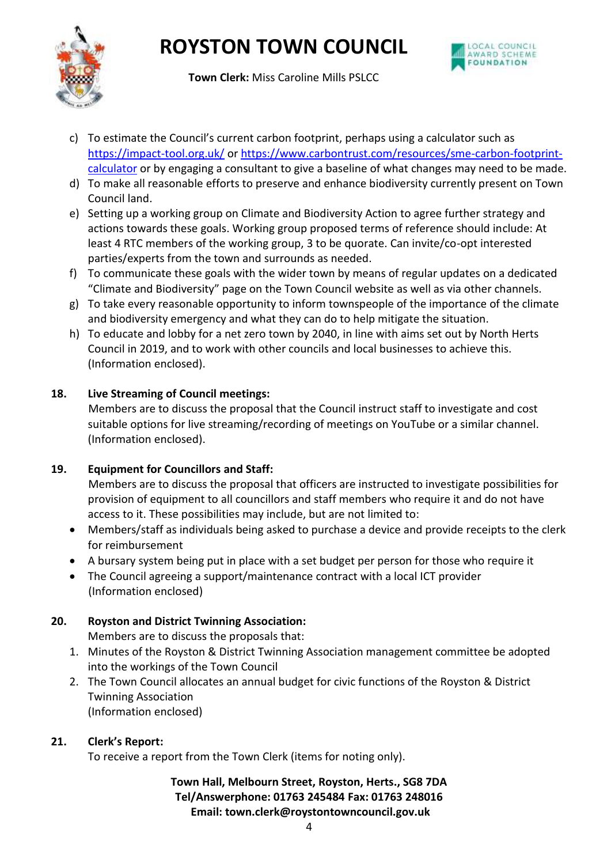



**Town Clerk:** Miss Caroline Mills PSLCC

- c) To estimate the Council's current carbon footprint, perhaps using a calculator such as <https://impact-tool.org.uk/> o[r https://www.carbontrust.com/resources/sme-carbon-footprint](https://www.carbontrust.com/resources/sme-carbon-footprint-calculator)[calculator](https://www.carbontrust.com/resources/sme-carbon-footprint-calculator) or by engaging a consultant to give a baseline of what changes may need to be made.
- d) To make all reasonable efforts to preserve and enhance biodiversity currently present on Town Council land.
- e) Setting up a working group on Climate and Biodiversity Action to agree further strategy and actions towards these goals. Working group proposed terms of reference should include: At least 4 RTC members of the working group, 3 to be quorate. Can invite/co-opt interested parties/experts from the town and surrounds as needed.
- f) To communicate these goals with the wider town by means of regular updates on a dedicated "Climate and Biodiversity" page on the Town Council website as well as via other channels.
- g) To take every reasonable opportunity to inform townspeople of the importance of the climate and biodiversity emergency and what they can do to help mitigate the situation.
- h) To educate and lobby for a net zero town by 2040, in line with aims set out by North Herts Council in 2019, and to work with other councils and local businesses to achieve this. (Information enclosed).

# **18. Live Streaming of Council meetings:**

Members are to discuss the proposal that the Council instruct staff to investigate and cost suitable options for live streaming/recording of meetings on YouTube or a similar channel. (Information enclosed).

# **19. Equipment for Councillors and Staff:**

Members are to discuss the proposal that officers are instructed to investigate possibilities for provision of equipment to all councillors and staff members who require it and do not have access to it. These possibilities may include, but are not limited to:

- Members/staff as individuals being asked to purchase a device and provide receipts to the clerk for reimbursement
- A bursary system being put in place with a set budget per person for those who require it
- The Council agreeing a support/maintenance contract with a local ICT provider (Information enclosed)

# **20. Royston and District Twinning Association:**

Members are to discuss the proposals that:

- 1. Minutes of the Royston & District Twinning Association management committee be adopted into the workings of the Town Council
- 2. The Town Council allocates an annual budget for civic functions of the Royston & District Twinning Association (Information enclosed)

### **21. Clerk's Report:**

To receive a report from the Town Clerk (items for noting only).